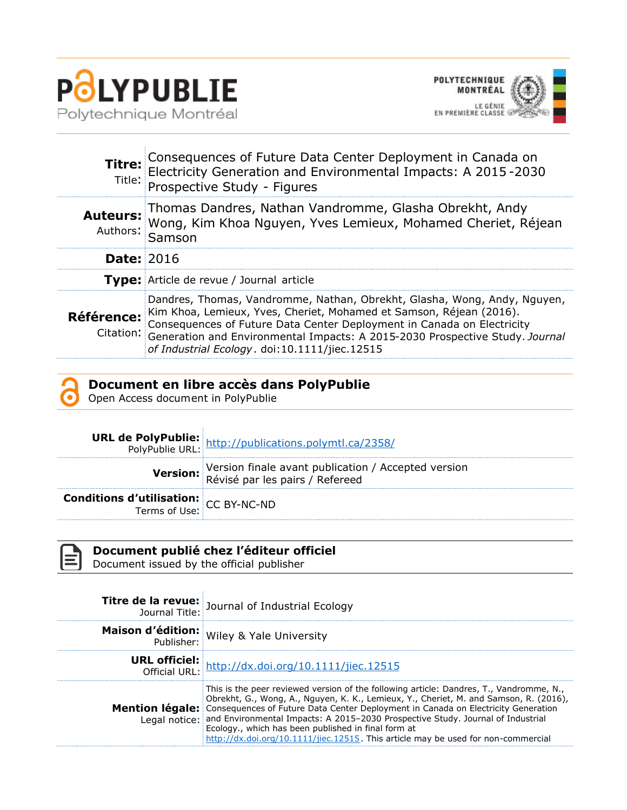



|                         | <b>Titre:</b> Consequences of Future Data Center Deployment in Canada on<br>Fitle: Electricity Generation and Environmental Impacts: A 2015-2030<br>Prospective Study - Figures                                                                                                                                                                            |
|-------------------------|------------------------------------------------------------------------------------------------------------------------------------------------------------------------------------------------------------------------------------------------------------------------------------------------------------------------------------------------------------|
| Auteurs:                | uteurs: Thomas Dandres, Nathan Vandromme, Glasha Obrekht, Andy<br>Authors: Wong, Kim Khoa Nguyen, Yves Lemieux, Mohamed Cheriet, Réjean<br>Samson                                                                                                                                                                                                          |
| <b>Date: 2016</b>       |                                                                                                                                                                                                                                                                                                                                                            |
|                         | Type: Article de revue / Journal article                                                                                                                                                                                                                                                                                                                   |
| Référence:<br>Citation: | Dandres, Thomas, Vandromme, Nathan, Obrekht, Glasha, Wong, Andy, Nguyen,<br>Kim Khoa, Lemieux, Yves, Cheriet, Mohamed et Samson, Réjean (2016).<br>Consequences of Future Data Center Deployment in Canada on Electricity<br>Generation and Environmental Impacts: A 2015-2030 Prospective Study. Journal<br>of Industrial Ecology. doi:10.1111/jiec.12515 |

## **Document en libre accès dans PolyPublie**

Open Access document in PolyPublie

|                                                                               | <b>URL de PolyPublie:</b><br>PolyPublie URL: http://publications.polymtl.ca/2358/               |
|-------------------------------------------------------------------------------|-------------------------------------------------------------------------------------------------|
|                                                                               | Version: Version finale avant publication / Accepted version<br>Révisé par les pairs / Refereed |
| <b>Conditions d'utilisation:</b> $CC$ BY-NC-ND<br>Terms of Use: $CC$ BY-NC-ND |                                                                                                 |

| Document publié chez l'éditeur officiel<br>Document issued by the official publisher |                                                                                                         |  |  |
|--------------------------------------------------------------------------------------|---------------------------------------------------------------------------------------------------------|--|--|
|                                                                                      | <b>Titre de la revue:</b> Journal of Industrial Ecology<br>Journal Title: Journal of Industrial Ecology |  |  |
|                                                                                      | Maison d'édition: Wiley & Yale University                                                               |  |  |
|                                                                                      | <b>URL officiel:</b><br>Official URL: http://dx.doi.org/10.1111/jiec.12515                              |  |  |
|                                                                                      |                                                                                                         |  |  |

| This is the peer reviewed version of the following article: Dandres, T., Vandromme, N.,<br>Obrekht, G., Wong, A., Nguyen, K. K., Lemieux, Y., Cheriet, M. and Samson, R. (2016), |
|----------------------------------------------------------------------------------------------------------------------------------------------------------------------------------|
| <b>Mention légale:</b> Consequences of Future Data Center Deployment in Canada on Electricity Generation                                                                         |
| Legal notice: and Environmental Impacts: A 2015-2030 Prospective Study. Journal of Industrial                                                                                    |
| Ecology., which has been published in final form at                                                                                                                              |
| http://dx.doi.org/10.1111/jiec.12515. This article may be used for non-commercial                                                                                                |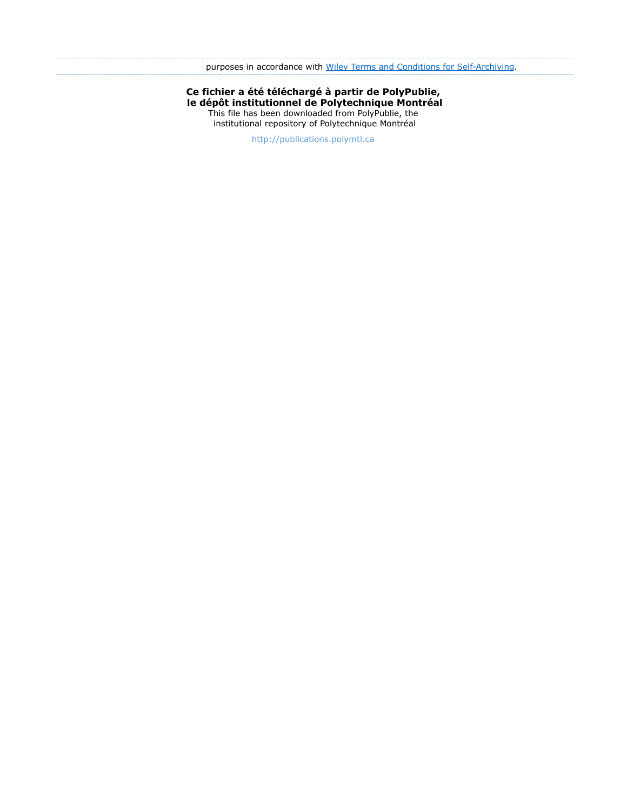**Ce fichier a été téléchargé à partir de PolyPublie, le dépôt institutionnel de Polytechnique Montréal** This file has been downloaded from PolyPublie, the institutional repository of Polytechnique Montréal

[http://publications.polymtl.ca](http://publications.polymtl.ca/)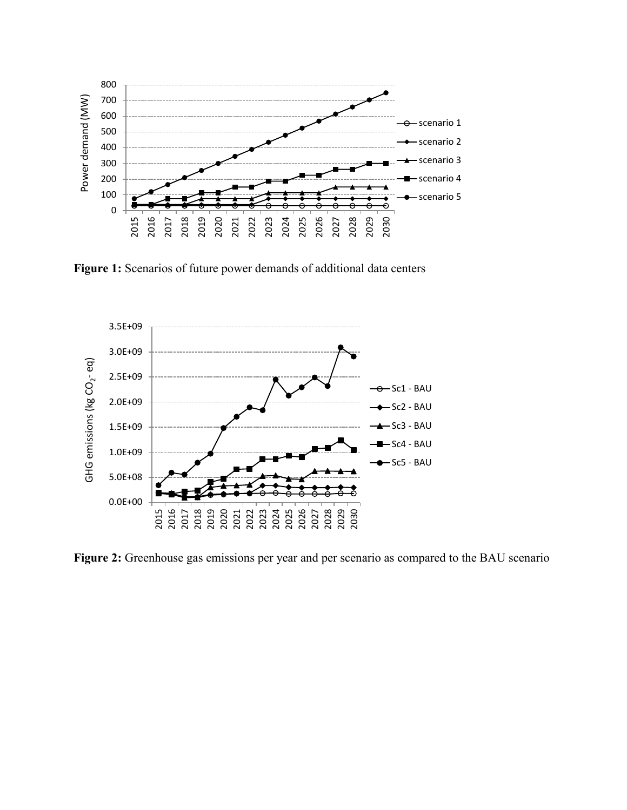

**Figure 1:** Scenarios of future power demands of additional data centers



**Figure 2:** Greenhouse gas emissions per year and per scenario as compared to the BAU scenario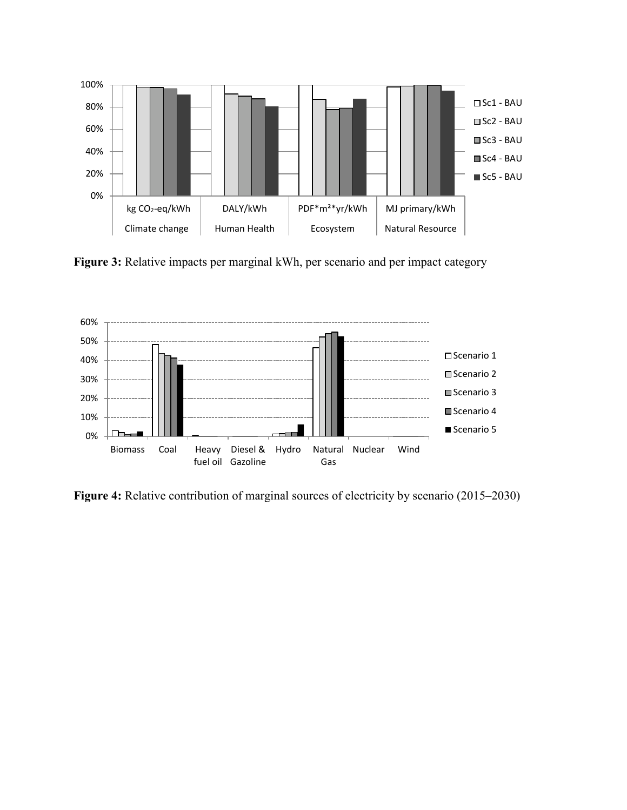

**Figure 3:** Relative impacts per marginal kWh, per scenario and per impact category



**Figure 4:** Relative contribution of marginal sources of electricity by scenario (2015–2030)